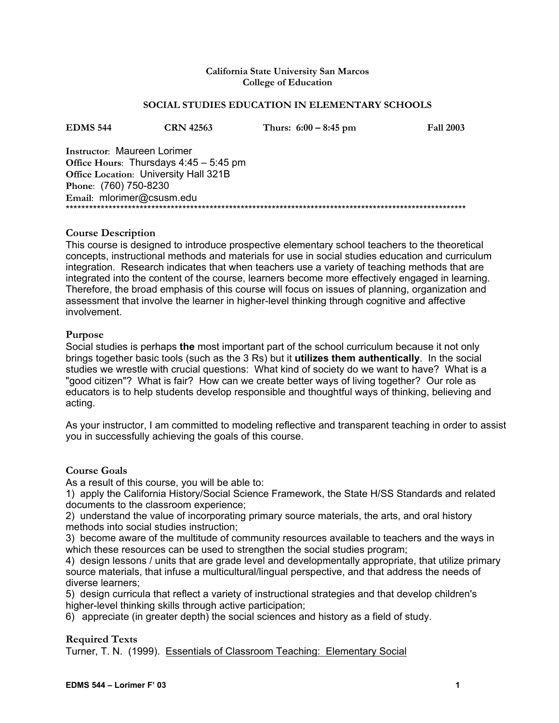#### **California State University San Marcos College of Education**

#### **SOCIAL STUDIES EDUCATION IN ELEMENTARY SCHOOLS**

| EDMS 544                                     | <b>CRN</b> 42563 | Thurs: $6:00 - 8:45$ pm | <b>Fall 2003</b> |
|----------------------------------------------|------------------|-------------------------|------------------|
| <b>Instructor: Maureen Lorimer</b>           |                  |                         |                  |
| Office Hours: Thursdays $4:45-5:45$ pm       |                  |                         |                  |
| <b>Office Location: University Hall 321B</b> |                  |                         |                  |
| Phone: (760) 750-8230                        |                  |                         |                  |
| Email: mlorimer@csusm.edu                    |                  |                         |                  |
|                                              |                  |                         |                  |

#### **Course Description**

This course is designed to introduce prospective elementary school teachers to the theoretical concepts, instructional methods and materials for use in social studies education and curriculum integration. Research indicates that when teachers use a variety of teaching methods that are integrated into the content of the course, learners become more effectively engaged in learning. Therefore, the broad emphasis of this course will focus on issues of planning, organization and assessment that involve the learner in higher-level thinking through cognitive and affective involvement.

#### **Purpose**

Social studies is perhaps **the** most important part of the school curriculum because it not only brings together basic tools (such as the 3 Rs) but it **utilizes them authentically**. In the social studies we wrestle with crucial questions: What kind of society do we want to have? What is a "good citizen"? What is fair? How can we create better ways of living together? Our role as educators is to help students develop responsible and thoughtful ways of thinking, believing and acting.

As your instructor, I am committed to modeling reflective and transparent teaching in order to assist you in successfully achieving the goals of this course.

#### **Course Goals**

As a result of this course, you will be able to:

1) apply the California History/Social Science Framework, the State H/SS Standards and related documents to the classroom experience;

2) understand the value of incorporating primary source materials, the arts, and oral history methods into social studies instruction;

3) become aware of the multitude of community resources available to teachers and the ways in which these resources can be used to strengthen the social studies program;

4) design lessons / units that are grade level and developmentally appropriate, that utilize primary source materials, that infuse a multicultural/lingual perspective, and that address the needs of diverse learners;

5) design curricula that reflect a variety of instructional strategies and that develop children's higher-level thinking skills through active participation;

6) appreciate (in greater depth) the social sciences and history as a field of study.

#### **Required Texts**

Turner, T. N. (1999). Essentials of Classroom Teaching: Elementary Social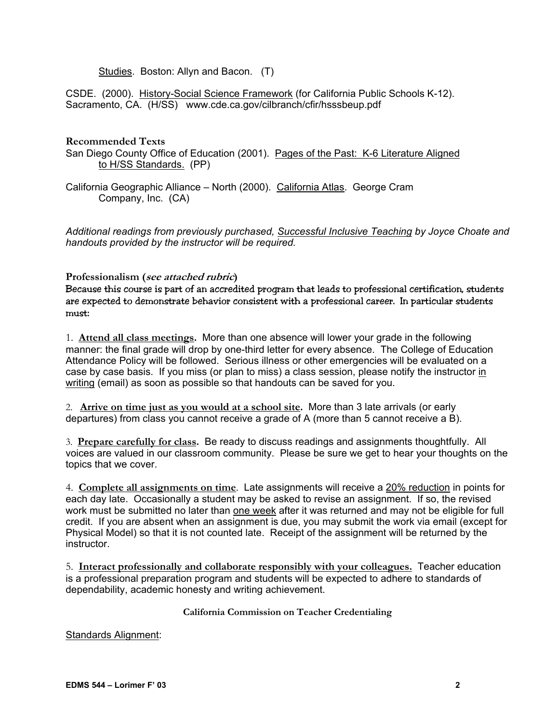Studies. Boston: Allyn and Bacon. (T)

CSDE. (2000). History-Social Science Framework (for California Public Schools K-12). Sacramento, CA. (H/SS) www.cde.ca.gov/cilbranch/cfir/hsssbeup.pdf

#### **Recommended Texts**

San Diego County Office of Education (2001). Pages of the Past: K-6 Literature Aligned to H/SS Standards. (PP)

California Geographic Alliance – North (2000). California Atlas. George Cram Company, Inc. (CA)

*Additional readings from previously purchased, Successful Inclusive Teaching by Joyce Choate and handouts provided by the instructor will be required.* 

#### **Professionalism (see attached rubric)**

Because this course is part of an accredited program that leads to professional certification, students are expected to demonstrate behavior consistent with a professional career. In particular students must:

1. **Attend all class meetings.** More than one absence will lower your grade in the following manner: the final grade will drop by one-third letter for every absence. The College of Education Attendance Policy will be followed. Serious illness or other emergencies will be evaluated on a case by case basis. If you miss (or plan to miss) a class session, please notify the instructor in writing (email) as soon as possible so that handouts can be saved for you.

2. **Arrive on time just as you would at a school site.** More than 3 late arrivals (or early departures) from class you cannot receive a grade of A (more than 5 cannot receive a B).

3. **Prepare carefully for class.** Be ready to discuss readings and assignments thoughtfully. All voices are valued in our classroom community. Please be sure we get to hear your thoughts on the topics that we cover.

4. **Complete all assignments on time**. Late assignments will receive a 20% reduction in points for each day late. Occasionally a student may be asked to revise an assignment. If so, the revised work must be submitted no later than one week after it was returned and may not be eligible for full credit. If you are absent when an assignment is due, you may submit the work via email (except for Physical Model) so that it is not counted late. Receipt of the assignment will be returned by the instructor.

5. **Interact professionally and collaborate responsibly with your colleagues.** Teacher education is a professional preparation program and students will be expected to adhere to standards of dependability, academic honesty and writing achievement.

**California Commission on Teacher Credentialing** 

Standards Alignment: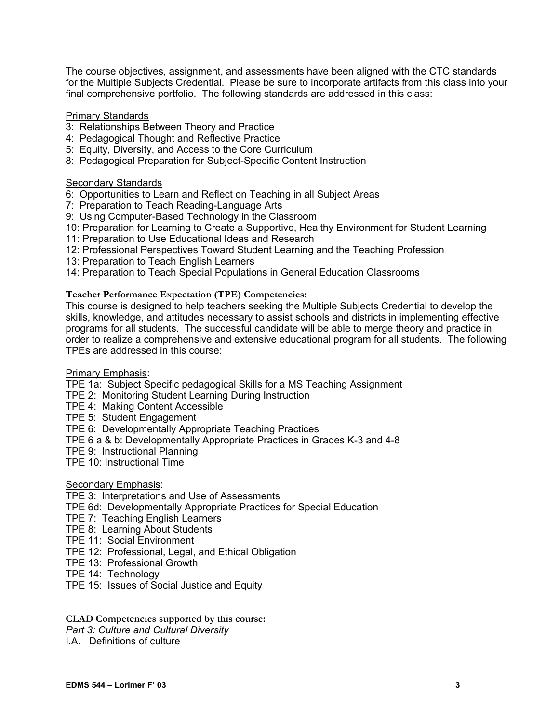The course objectives, assignment, and assessments have been aligned with the CTC standards for the Multiple Subjects Credential. Please be sure to incorporate artifacts from this class into your final comprehensive portfolio. The following standards are addressed in this class:

# Primary Standards

- 3: Relationships Between Theory and Practice
- 4: Pedagogical Thought and Reflective Practice
- 5: Equity, Diversity, and Access to the Core Curriculum
- 8: Pedagogical Preparation for Subject-Specific Content Instruction

# Secondary Standards

- 6: Opportunities to Learn and Reflect on Teaching in all Subject Areas
- 7: Preparation to Teach Reading-Language Arts
- 9: Using Computer-Based Technology in the Classroom
- 10: Preparation for Learning to Create a Supportive, Healthy Environment for Student Learning
- 11: Preparation to Use Educational Ideas and Research
- 12: Professional Perspectives Toward Student Learning and the Teaching Profession
- 13: Preparation to Teach English Learners
- 14: Preparation to Teach Special Populations in General Education Classrooms

**Teacher Performance Expectation (TPE) Competencies:** 

This course is designed to help teachers seeking the Multiple Subjects Credential to develop the skills, knowledge, and attitudes necessary to assist schools and districts in implementing effective programs for all students. The successful candidate will be able to merge theory and practice in order to realize a comprehensive and extensive educational program for all students. The following TPEs are addressed in this course:

Primary Emphasis:

TPE 1a: Subject Specific pedagogical Skills for a MS Teaching Assignment

- TPE 2: Monitoring Student Learning During Instruction
- TPE 4: Making Content Accessible
- TPE 5: Student Engagement
- TPE 6: Developmentally Appropriate Teaching Practices
- TPE 6 a & b: Developmentally Appropriate Practices in Grades K-3 and 4-8
- TPE 9: Instructional Planning
- TPE 10: Instructional Time

# Secondary Emphasis:

- TPE 3: Interpretations and Use of Assessments
- TPE 6d: Developmentally Appropriate Practices for Special Education
- TPE 7: Teaching English Learners
- TPE 8: Learning About Students
- TPE 11: Social Environment
- TPE 12: Professional, Legal, and Ethical Obligation
- TPE 13: Professional Growth
- TPE 14: Technology
- TPE 15: Issues of Social Justice and Equity

#### **CLAD Competencies supported by this course:**

*Part 3: Culture and Cultural Diversity* 

I.A. Definitions of culture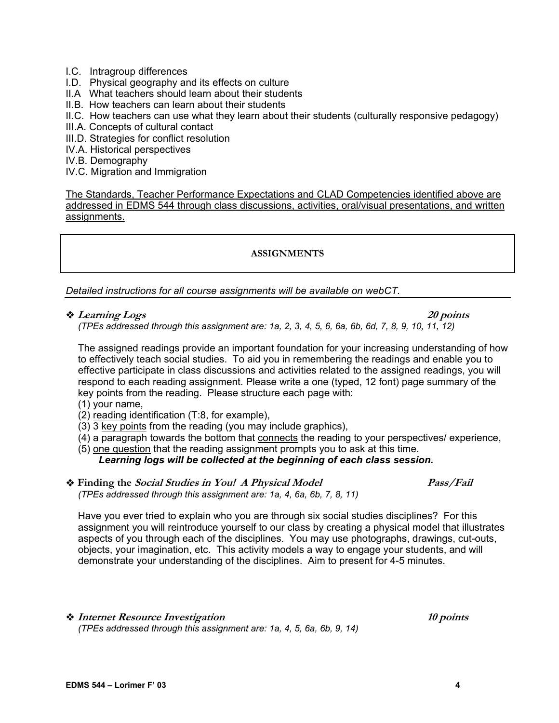- I.C. Intragroup differences
- I.D. Physical geography and its effects on culture
- II.A What teachers should learn about their students
- II.B. How teachers can learn about their students
- II.C. How teachers can use what they learn about their students (culturally responsive pedagogy)
- III.A. Concepts of cultural contact
- III.D. Strategies for conflict resolution
- IV.A. Historical perspectives
- IV.B. Demography
- IV.C. Migration and Immigration

The Standards, Teacher Performance Expectations and CLAD Competencies identified above are addressed in EDMS 544 through class discussions, activities, oral/visual presentations, and written assignments.

#### **ASSIGNMENTS**

*Detailed instructions for all course assignments will be available on webCT.* 

**A** Learning Logs 20 points 20 points  $\sim$  20 points

*(TPEs addressed through this assignment are: 1a, 2, 3, 4, 5, 6, 6a, 6b, 6d, 7, 8, 9, 10, 11, 12)* 

The assigned readings provide an important foundation for your increasing understanding of how to effectively teach social studies. To aid you in remembering the readings and enable you to effective participate in class discussions and activities related to the assigned readings, you will respond to each reading assignment. Please write a one (typed, 12 font) page summary of the key points from the reading. Please structure each page with:

- (1) your name,
- (2) reading identification (T:8, for example),
- (3) 3 key points from the reading (you may include graphics),
- (4) a paragraph towards the bottom that connects the reading to your perspectives/ experience,
- (5) one question that the reading assignment prompts you to ask at this time.

#### *Learning logs will be collected at the beginning of each class session.*

 **Finding the Social Studies in You! A Physical Model Pass/Fail** *(TPEs addressed through this assignment are: 1a, 4, 6a, 6b, 7, 8, 11)* 

Have you ever tried to explain who you are through six social studies disciplines? For this assignment you will reintroduce yourself to our class by creating a physical model that illustrates aspects of you through each of the disciplines. You may use photographs, drawings, cut-outs, objects, your imagination, etc. This activity models a way to engage your students, and will demonstrate your understanding of the disciplines. Aim to present for 4-5 minutes.

# **• Internet Resource Investigation** 10 points

*(TPEs addressed through this assignment are: 1a, 4, 5, 6a, 6b, 9, 14)* 

**EDMS 544 – Lorimer F' 03 4**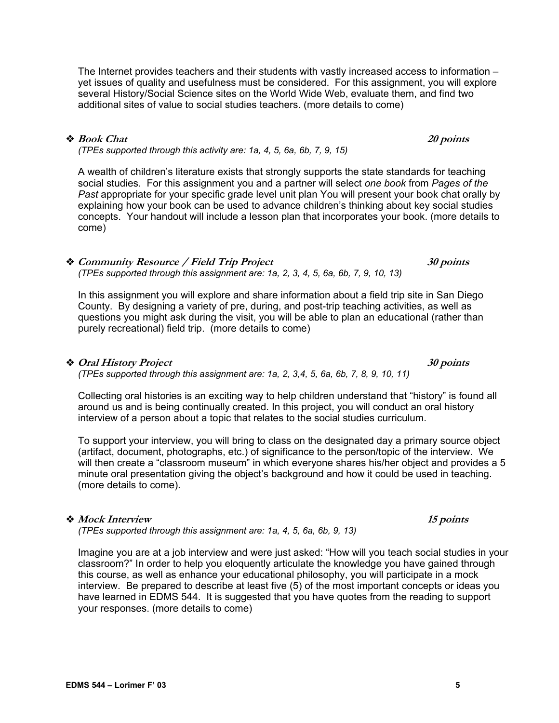The Internet provides teachers and their students with vastly increased access to information – yet issues of quality and usefulness must be considered. For this assignment, you will explore several History/Social Science sites on the World Wide Web, evaluate them, and find two additional sites of value to social studies teachers. (more details to come)

#### ◆ Book Chat 20 points

*(TPEs supported through this activity are: 1a, 4, 5, 6a, 6b, 7, 9, 15)* 

A wealth of children's literature exists that strongly supports the state standards for teaching social studies. For this assignment you and a partner will select *one book* from *Pages of the Past* appropriate for your specific grade level unit plan You will present your book chat orally by explaining how your book can be used to advance children's thinking about key social studies concepts. Your handout will include a lesson plan that incorporates your book. (more details to come)

*(TPEs supported through this assignment are: 1a, 2, 3, 4, 5, 6a, 6b, 7, 9, 10, 13)*  In this assignment you will explore and share information about a field trip site in San Diego

**Community Resource / Field Trip Project 30 points**

County. By designing a variety of pre, during, and post-trip teaching activities, as well as questions you might ask during the visit, you will be able to plan an educational (rather than purely recreational) field trip. (more details to come)

 $\bullet$  **Oral History Project** 30 points 30 points *(TPEs supported through this assignment are: 1a, 2, 3,4, 5, 6a, 6b, 7, 8, 9, 10, 11)* 

Collecting oral histories is an exciting way to help children understand that "history" is found all around us and is being continually created. In this project, you will conduct an oral history interview of a person about a topic that relates to the social studies curriculum.

To support your interview, you will bring to class on the designated day a primary source object (artifact, document, photographs, etc.) of significance to the person/topic of the interview. We will then create a "classroom museum" in which everyone shares his/her object and provides a 5 minute oral presentation giving the object's background and how it could be used in teaching. (more details to come).

#### ◆ Mock Interview  **15 points**

*(TPEs supported through this assignment are: 1a, 4, 5, 6a, 6b, 9, 13)* 

Imagine you are at a job interview and were just asked: "How will you teach social studies in your classroom?" In order to help you eloquently articulate the knowledge you have gained through this course, as well as enhance your educational philosophy, you will participate in a mock interview. Be prepared to describe at least five (5) of the most important concepts or ideas you have learned in EDMS 544. It is suggested that you have quotes from the reading to support your responses. (more details to come)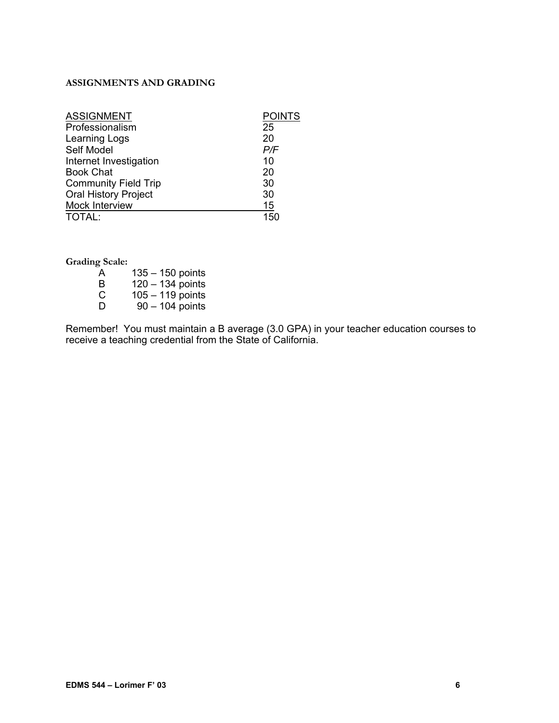# **ASSIGNMENTS AND GRADING**

| <b>ASSIGNMENT</b>           | <b>POINTS</b> |
|-----------------------------|---------------|
| Professionalism             | 25            |
| Learning Logs               | 20            |
| Self Model                  | P/F           |
| Internet Investigation      | 10            |
| <b>Book Chat</b>            | 20            |
| <b>Community Field Trip</b> | 30            |
| <b>Oral History Project</b> | 30            |
| Mock Interview              | 15            |
| TOTAL:                      | 150           |

**Grading Scale:** 

| $135 - 150$ points |
|--------------------|
| $120 - 134$ points |
| $105 - 119$ points |
| $90 - 104$ points  |
|                    |

Remember! You must maintain a B average (3.0 GPA) in your teacher education courses to receive a teaching credential from the State of California.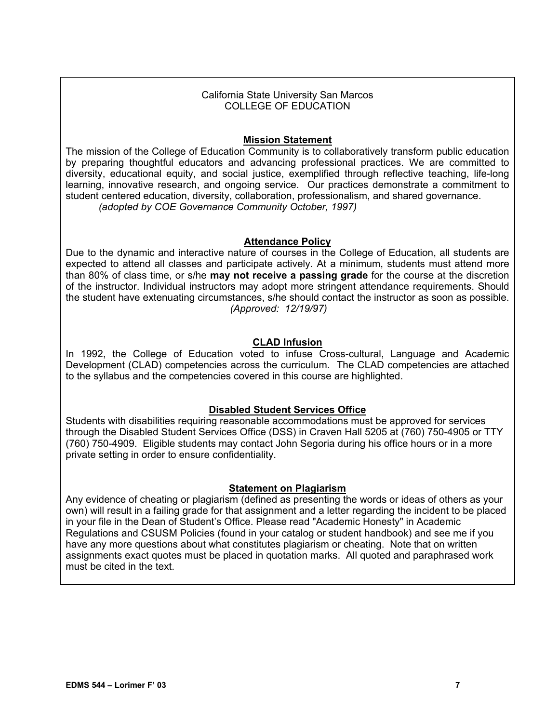#### California State University San Marcos COLLEGE OF EDUCATION

# **Mission Statement**

The mission of the College of Education Community is to collaboratively transform public education by preparing thoughtful educators and advancing professional practices. We are committed to diversity, educational equity, and social justice, exemplified through reflective teaching, life-long learning, innovative research, and ongoing service. Our practices demonstrate a commitment to student centered education, diversity, collaboration, professionalism, and shared governance. *(adopted by COE Governance Community October, 1997)*

# **Attendance Policy**

Due to the dynamic and interactive nature of courses in the College of Education, all students are expected to attend all classes and participate actively. At a minimum, students must attend more than 80% of class time, or s/he **may not receive a passing grade** for the course at the discretion of the instructor. Individual instructors may adopt more stringent attendance requirements. Should the student have extenuating circumstances, s/he should contact the instructor as soon as possible. *(Approved: 12/19/97)*

# **CLAD Infusion**

In 1992, the College of Education voted to infuse Cross-cultural, Language and Academic Development (CLAD) competencies across the curriculum. The CLAD competencies are attached to the syllabus and the competencies covered in this course are highlighted.

# **Disabled Student Services Office**

Students with disabilities requiring reasonable accommodations must be approved for services through the Disabled Student Services Office (DSS) in Craven Hall 5205 at (760) 750-4905 or TTY (760) 750-4909. Eligible students may contact John Segoria during his office hours or in a more private setting in order to ensure confidentiality.

# **Statement on Plagiarism**

Any evidence of cheating or plagiarism (defined as presenting the words or ideas of others as your own) will result in a failing grade for that assignment and a letter regarding the incident to be placed in your file in the Dean of Student's Office. Please read "Academic Honesty" in Academic Regulations and CSUSM Policies (found in your catalog or student handbook) and see me if you have any more questions about what constitutes plagiarism or cheating. Note that on written assignments exact quotes must be placed in quotation marks. All quoted and paraphrased work must be cited in the text.